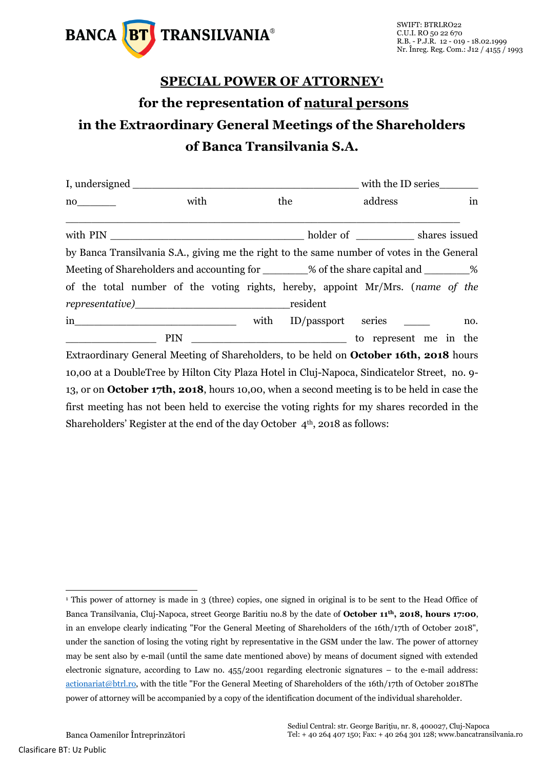

## **SPECIAL POWER OF ATTORNEY<sup>1</sup> for the representation of natural persons in the Extraordinary General Meetings of the Shareholders of Banca Transilvania S.A.**

| I, undersigned                                                                                                  | with the ID series                                                                                 |      |                    |  |         |  |  |     |
|-----------------------------------------------------------------------------------------------------------------|----------------------------------------------------------------------------------------------------|------|--------------------|--|---------|--|--|-----|
| no contra un contra un contra un contra un contra un contra un contra un contra un contra un contra un contra u | with                                                                                               |      | the                |  | address |  |  | in  |
|                                                                                                                 |                                                                                                    |      |                    |  |         |  |  |     |
|                                                                                                                 | by Banca Transilvania S.A., giving me the right to the same number of votes in the General         |      |                    |  |         |  |  |     |
|                                                                                                                 | Meeting of Shareholders and accounting for ________% of the share capital and ________%            |      |                    |  |         |  |  |     |
|                                                                                                                 | of the total number of the voting rights, hereby, appoint Mr/Mrs. (name of the                     |      |                    |  |         |  |  |     |
|                                                                                                                 |                                                                                                    |      | resident           |  |         |  |  |     |
|                                                                                                                 | $\overline{\text{in}}$                                                                             | with | ID/passport series |  |         |  |  | no. |
|                                                                                                                 |                                                                                                    |      |                    |  |         |  |  |     |
|                                                                                                                 | Extraordinary General Meeting of Shareholders, to be held on <b>October 16th, 2018</b> hours       |      |                    |  |         |  |  |     |
|                                                                                                                 | 10,00 at a DoubleTree by Hilton City Plaza Hotel in Cluj-Napoca, Sindicatelor Street, no. 9-       |      |                    |  |         |  |  |     |
|                                                                                                                 | 13, or on <b>October 17th, 2018</b> , hours 10,00, when a second meeting is to be held in case the |      |                    |  |         |  |  |     |
|                                                                                                                 | first meeting has not been held to exercise the voting rights for my shares recorded in the        |      |                    |  |         |  |  |     |

Shareholders' Register at the end of the day October  $4<sup>th</sup>$ , 2018 as follows:

<sup>-</sup><sup>1</sup> This power of attorney is made in 3 (three) copies, one signed in original is to be sent to the Head Office of Banca Transilvania, Cluj-Napoca, street George Baritiu no.8 by the date of **October 11th, 2018, hours 17:00**, in an envelope clearly indicating "For the General Meeting of Shareholders of the 16th/17th of October 2018", under the sanction of losing the voting right by representative in the GSM under the law. The power of attorney may be sent also by e-mail (until the same date mentioned above) by means of document signed with extended electronic signature, according to Law no. 455/2001 regarding electronic signatures – to the e-mail address: [actionariat@btrl.ro,](mailto:actionariat@btrl.ro) with the title "For the General Meeting of Shareholders of the 16th/17th of October 2018The power of attorney will be accompanied by a copy of the identification document of the individual shareholder.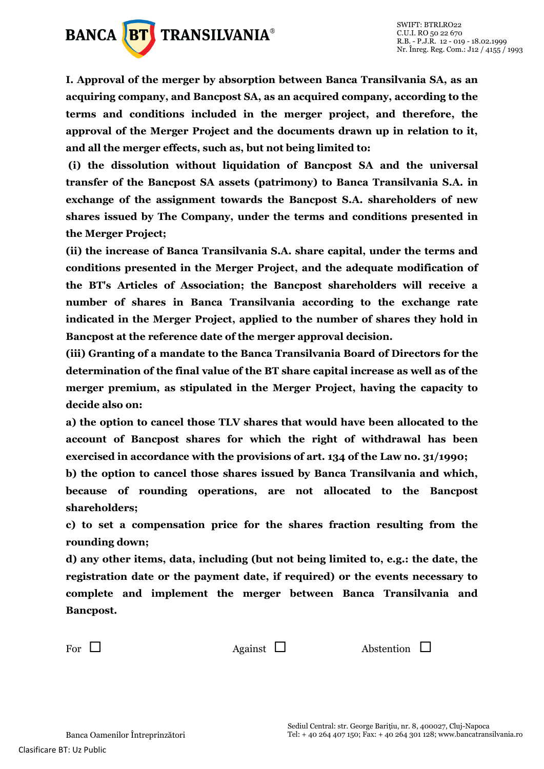

**I. Approval of the merger by absorption between Banca Transilvania SA, as an acquiring company, and Bancpost SA, as an acquired company, according to the terms and conditions included in the merger project, and therefore, the approval of the Merger Project and the documents drawn up in relation to it, and all the merger effects, such as, but not being limited to:**

**(i) the dissolution without liquidation of Bancpost SA and the universal transfer of the Bancpost SA assets (patrimony) to Banca Transilvania S.A. in exchange of the assignment towards the Bancpost S.A. shareholders of new shares issued by The Company, under the terms and conditions presented in the Merger Project;** 

**(ii) the increase of Banca Transilvania S.A. share capital, under the terms and conditions presented in the Merger Project, and the adequate modification of the BT's Articles of Association; the Bancpost shareholders will receive a number of shares in Banca Transilvania according to the exchange rate indicated in the Merger Project, applied to the number of shares they hold in Bancpost at the reference date of the merger approval decision.**

**(iii) Granting of a mandate to the Banca Transilvania Board of Directors for the determination of the final value of the BT share capital increase as well as of the merger premium, as stipulated in the Merger Project, having the capacity to decide also on:**

**a) the option to cancel those TLV shares that would have been allocated to the account of Bancpost shares for which the right of withdrawal has been exercised in accordance with the provisions of art. 134 of the Law no. 31/1990;** 

**b) the option to cancel those shares issued by Banca Transilvania and which, because of rounding operations, are not allocated to the Bancpost shareholders;** 

**c) to set a compensation price for the shares fraction resulting from the rounding down;** 

**d) any other items, data, including (but not being limited to, e.g.: the date, the registration date or the payment date, if required) or the events necessary to complete and implement the merger between Banca Transilvania and Bancpost.**

For  $\Box$  Against  $\Box$  Abstention  $\Box$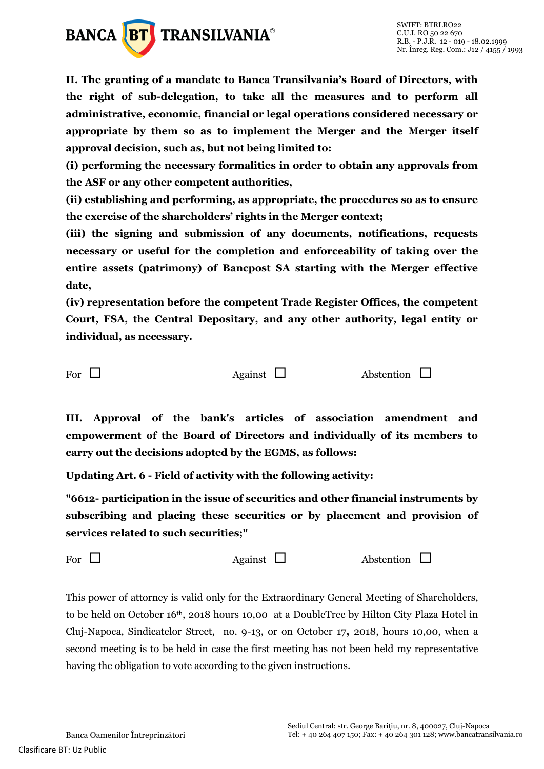

**II. The granting of a mandate to Banca Transilvania's Board of Directors, with the right of sub-delegation, to take all the measures and to perform all administrative, economic, financial or legal operations considered necessary or appropriate by them so as to implement the Merger and the Merger itself approval decision, such as, but not being limited to:** 

**(i) performing the necessary formalities in order to obtain any approvals from the ASF or any other competent authorities,** 

**(ii) establishing and performing, as appropriate, the procedures so as to ensure the exercise of the shareholders' rights in the Merger context;** 

**(iii) the signing and submission of any documents, notifications, requests necessary or useful for the completion and enforceability of taking over the entire assets (patrimony) of Bancpost SA starting with the Merger effective date,** 

**(iv) representation before the competent Trade Register Offices, the competent Court, FSA, the Central Depositary, and any other authority, legal entity or individual, as necessary.**

For  $\Box$  Against  $\Box$  Abstention  $\Box$ 

**III. Approval of the bank's articles of association amendment and empowerment of the Board of Directors and individually of its members to carry out the decisions adopted by the EGMS, as follows:**

**Updating Art. 6 - Field of activity with the following activity:**

**"6612- participation in the issue of securities and other financial instruments by subscribing and placing these securities or by placement and provision of services related to such securities;"**

For  $\Box$  Against  $\Box$  Abstention  $\Box$ 

This power of attorney is valid only for the Extraordinary General Meeting of Shareholders, to be held on October 16th, 2018 hours 10,00 at a DoubleTree by Hilton City Plaza Hotel in Cluj-Napoca, Sindicatelor Street, no. 9-13, or on October 17**,** 2018, hours 10,00, when a second meeting is to be held in case the first meeting has not been held my representative having the obligation to vote according to the given instructions.